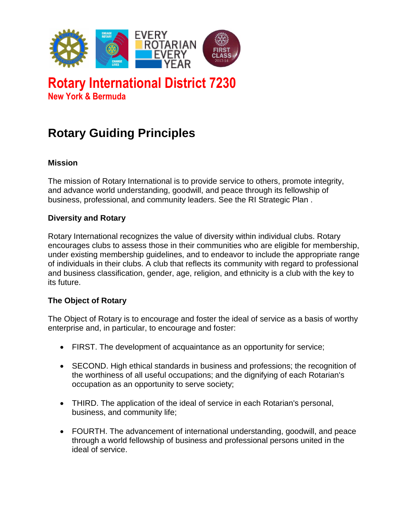

# **Rotary International District 7230 New York & Bermuda**

# **Rotary Guiding Principles**

# **Mission**

The mission of Rotary International is to provide service to others, promote integrity, and advance world understanding, goodwill, and peace through its fellowship of business, professional, and community leaders. See the RI Strategic Plan .

#### **Diversity and Rotary**

Rotary International recognizes the value of diversity within individual clubs. Rotary encourages clubs to assess those in their communities who are eligible for membership, under existing membership guidelines, and to endeavor to include the appropriate range of individuals in their clubs. A club that reflects its community with regard to professional and business classification, gender, age, religion, and ethnicity is a club with the key to its future.

#### **The Object of Rotary**

The Object of Rotary is to encourage and foster the ideal of service as a basis of worthy enterprise and, in particular, to encourage and foster:

- FIRST. The development of acquaintance as an opportunity for service;
- SECOND. High ethical standards in business and professions; the recognition of the worthiness of all useful occupations; and the dignifying of each Rotarian's occupation as an opportunity to serve society;
- THIRD. The application of the ideal of service in each Rotarian's personal, business, and community life;
- FOURTH. The advancement of international understanding, goodwill, and peace through a world fellowship of business and professional persons united in the ideal of service.